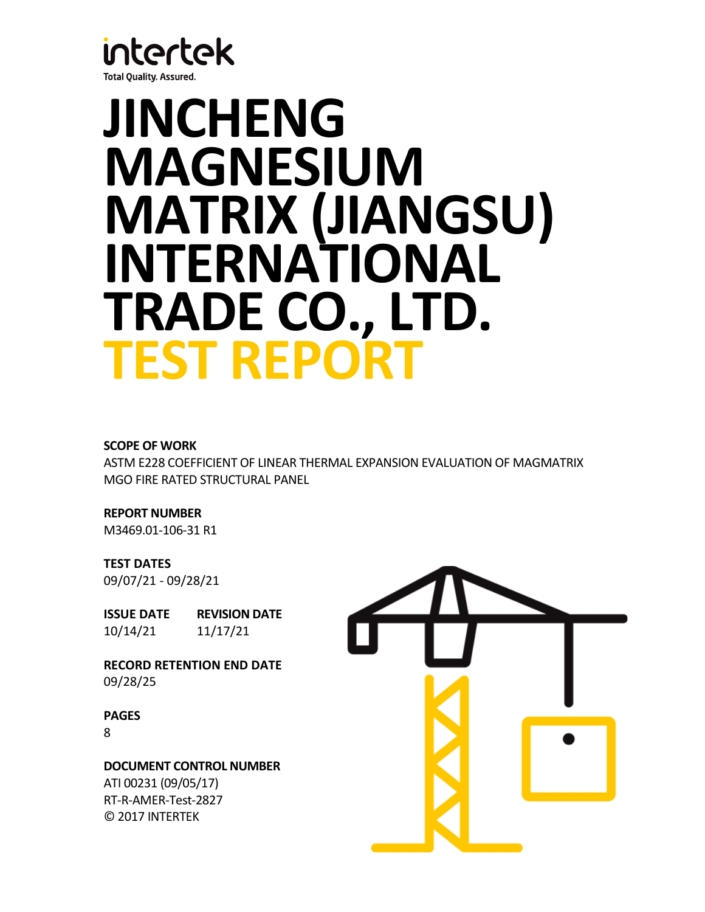

# **JINCHENG MAGNESIUM MATRIX (JIANGSU) INTERNATIONAL TRADE CO., LTD. TEST REPORT**

# **SCOPE OF WORK**

ASTM E228 COEFFICIENT OF LINEAR THERMAL EXPANSION EVALUATION OF MAGMATRIX MGO FIRE RATED STRUCTURAL PANEL

**REPORT NUMBER** M3469.01-106-31 R1

# **TEST DATES**

09/07/21 - 09/28/21

**ISSUE DATE REVISION DATE** 10/14/21 11/17/21

**RECORD RETENTION END DATE** 09/28/25

**PAGES**

8

**DOCUMENT CONTROL NUMBER** ATI 00231 (09/05/17) RT-R-AMER-Test-2827 © 2017 INTERTEK

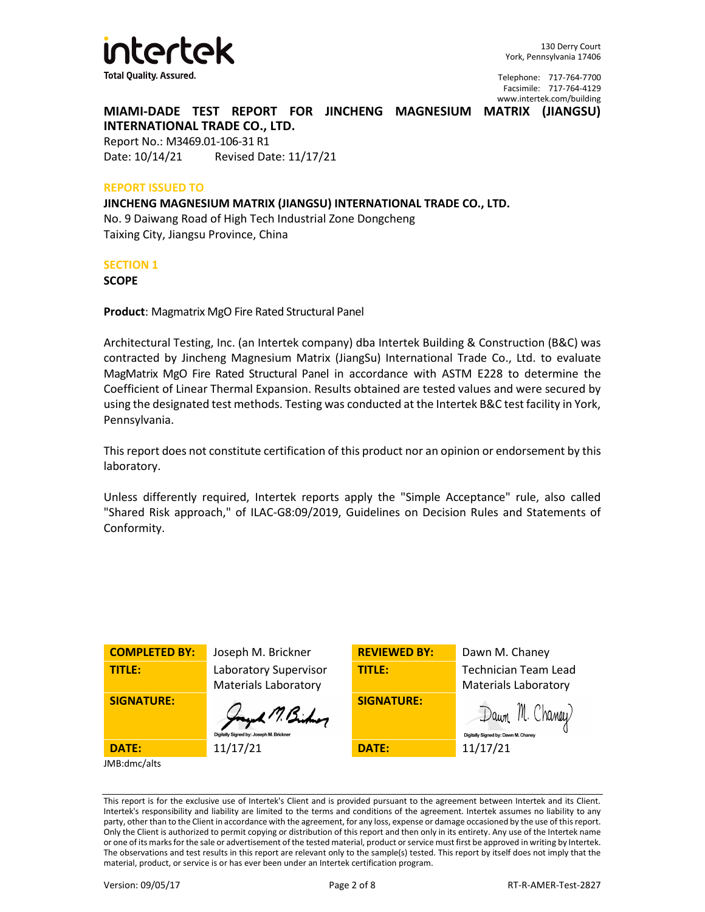

**MIAMI-DADE TEST REPORT FOR JINCHENG MAGNESIUM MATRIX (JIANGSU) INTERNATIONAL TRADE CO., LTD.**

Report No.: M3469.01-106-31 R1 Date: 10/14/21 Revised Date: 11/17/21

#### **REPORT ISSUED TO**

**JINCHENG MAGNESIUM MATRIX (JIANGSU) INTERNATIONAL TRADE CO., LTD.** No. 9 Daiwang Road of High Tech Industrial Zone Dongcheng Taixing City, Jiangsu Province, China

## **SECTION 1**

**SCOPE**

**Product**: Magmatrix MgO Fire Rated Structural Panel

Architectural Testing, Inc. (an Intertek company) dba Intertek Building & Construction (B&C) was contracted by Jincheng Magnesium Matrix (JiangSu) International Trade Co., Ltd. to evaluate MagMatrix MgO Fire Rated Structural Panel in accordance with ASTM E228 to determine the Coefficient of Linear Thermal Expansion. Results obtained are tested values and were secured by using the designated test methods. Testing was conducted at the Intertek B&C test facility in York, Pennsylvania.

This report does not constitute certification of this product nor an opinion or endorsement by this laboratory.

Unless differently required, Intertek reports apply the "Simple Acceptance" rule, also called "Shared Risk approach," of ILAC-G8:09/2019, Guidelines on Decision Rules and Statements of Conformity.

| <b>COMPLETED BY:</b> | Joseph M. Brickner                                        | <b>REVIEWED BY:</b> | Dawn M. Chaney                                             |
|----------------------|-----------------------------------------------------------|---------------------|------------------------------------------------------------|
| TITLE:               | Laboratory Supervisor<br><b>Materials Laboratory</b>      | <b>TITLE:</b>       | <b>Technician Team Lead</b><br><b>Materials Laboratory</b> |
| <b>SIGNATURE:</b>    | Jay 17, Bishop<br>Digitally Signed by: Joseph M. Brickner | <b>SIGNATURE:</b>   | Dawn M. Chaney<br>Digitally Signed by: Dawn M. Chaney      |
| <b>DATE:</b>         | 11/17/21                                                  | <b>DATE:</b>        | 11/17/21                                                   |
| JMB:dmc/alts         |                                                           |                     |                                                            |

This report is for the exclusive use of Intertek's Client and is provided pursuant to the agreement between Intertek and its Client. Intertek's responsibility and liability are limited to the terms and conditions of the agreement. Intertek assumes no liability to any party, other than to the Client in accordance with the agreement, for any loss, expense or damage occasioned by the use of this report. Only the Client is authorized to permit copying or distribution of this report and then only in its entirety. Any use of the Intertek name or one of its marks for the sale or advertisement of the tested material, product or service must first be approved in writing by Intertek. The observations and test results in this report are relevant only to the sample(s) tested. This report by itself does not imply that the material, product, or service is or has ever been under an Intertek certification program.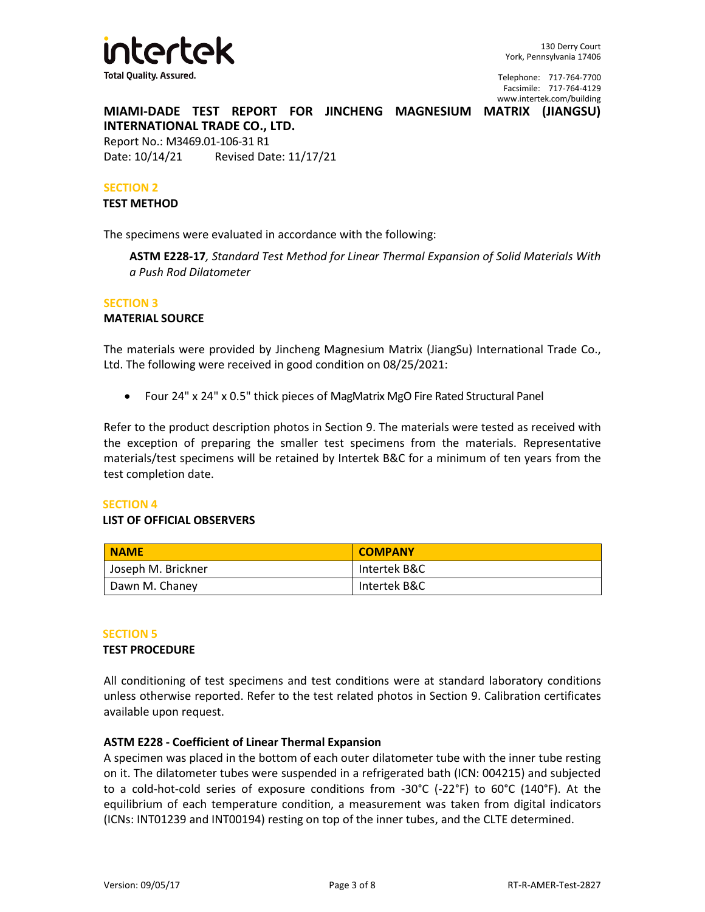

**MIAMI-DADE TEST REPORT FOR JINCHENG MAGNESIUM MATRIX (JIANGSU)** 

**INTERNATIONAL TRADE CO., LTD.** Report No.: M3469.01-106-31 R1 Date: 10/14/21 Revised Date: 11/17/21

## **SECTION 2**

### **TEST METHOD**

The specimens were evaluated in accordance with the following:

**ASTM E228-17***, Standard Test Method for Linear Thermal Expansion of Solid Materials With a Push Rod Dilatometer*

# **SECTION 3**

## **MATERIAL SOURCE**

The materials were provided by Jincheng Magnesium Matrix (JiangSu) International Trade Co., Ltd. The following were received in good condition on 08/25/2021:

• Four 24" x 24" x 0.5" thick pieces of MagMatrix MgO Fire Rated Structural Panel

Refer to the product description photos in Section 9. The materials were tested as received with the exception of preparing the smaller test specimens from the materials. Representative materials/test specimens will be retained by Intertek B&C for a minimum of ten years from the test completion date.

# **SECTION 4**

# **LIST OF OFFICIAL OBSERVERS**

| <b>NAME</b>        | <b>COMPANY</b> |
|--------------------|----------------|
| Joseph M. Brickner | Intertek B&C   |
| Dawn M. Chaney     | Intertek B&C   |

#### **SECTION 5**

# **TEST PROCEDURE**

All conditioning of test specimens and test conditions were at standard laboratory conditions unless otherwise reported. Refer to the test related photos in Section 9. Calibration certificates available upon request.

# **ASTM E228 - Coefficient of Linear Thermal Expansion**

A specimen was placed in the bottom of each outer dilatometer tube with the inner tube resting on it. The dilatometer tubes were suspended in a refrigerated bath (ICN: 004215) and subjected to a cold-hot-cold series of exposure conditions from -30°C (-22°F) to 60°C (140°F). At the equilibrium of each temperature condition, a measurement was taken from digital indicators (ICNs: INT01239 and INT00194) resting on top of the inner tubes, and the CLTE determined.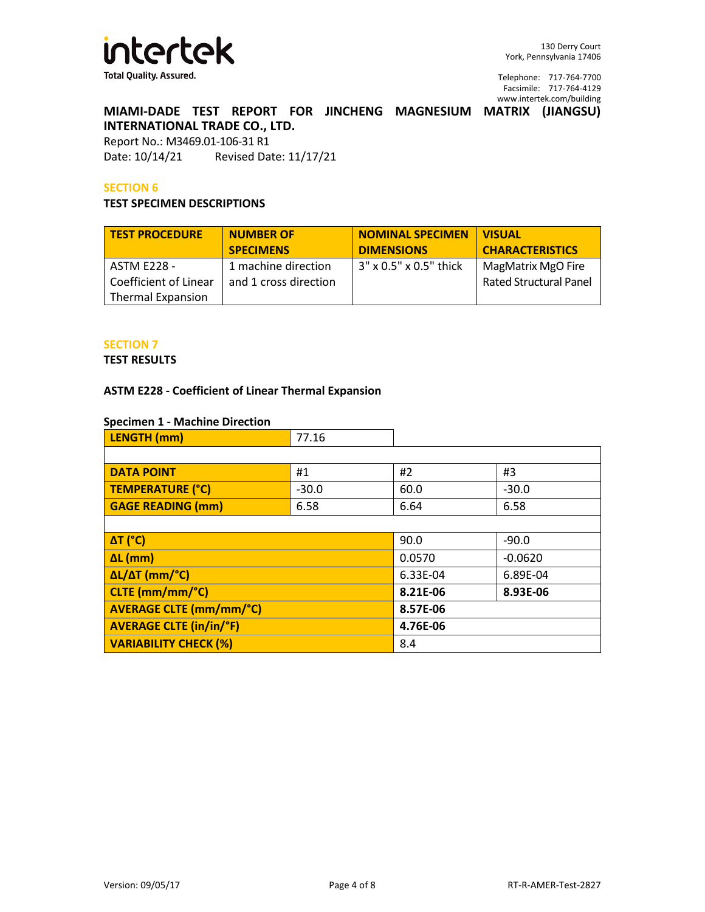

# **MIAMI-DADE TEST REPORT FOR JINCHENG MAGNESIUM MATRIX (JIANGSU) INTERNATIONAL TRADE CO., LTD.**

Report No.: M3469.01-106-31 R1 Date: 10/14/21 Revised Date: 11/17/21

# **SECTION 6**

## **TEST SPECIMEN DESCRIPTIONS**

| <b>TEST PROCEDURE</b>                                                   | <b>NUMBER OF</b>                             | <b>NOMINAL SPECIMEN</b>   | <b>VISUAL</b>                                       |
|-------------------------------------------------------------------------|----------------------------------------------|---------------------------|-----------------------------------------------------|
|                                                                         | <b>SPECIMENS</b>                             | <b>DIMENSIONS</b>         | <b>CHARACTERISTICS</b>                              |
| <b>ASTM E228 -</b><br>Coefficient of Linear<br><b>Thermal Expansion</b> | 1 machine direction<br>and 1 cross direction | $3''$ x 0.5" x 0.5" thick | MagMatrix MgO Fire<br><b>Rated Structural Panel</b> |

# **SECTION 7**

#### **TEST RESULTS**

# **ASTM E228 - Coefficient of Linear Thermal Expansion**

# **Specimen 1 - Machine Direction**

| $\sim$<br><b>LENGTH</b> (mm) | ں ـ ر |  |
|------------------------------|-------|--|
|                              |       |  |

| <b>DATA POINT</b>              | #1      | #2       | #3        |
|--------------------------------|---------|----------|-----------|
| TEMPERATURE (°C)               | $-30.0$ | 60.0     | $-30.0$   |
| <b>GAGE READING (mm)</b>       | 6.58    | 6.64     | 6.58      |
|                                |         |          |           |
| <b>ΔT</b> (°C)                 |         | 90.0     | $-90.0$   |
| $\Delta L$ (mm)                |         | 0.0570   | $-0.0620$ |
| $\Delta L/\Delta T$ (mm/°C)    |         | 6.33E-04 | 6.89E-04  |
| CLTE (mm/mm/°C)                |         | 8.21E-06 | 8.93E-06  |
| <b>AVERAGE CLTE (mm/mm/°C)</b> |         | 8.57E-06 |           |
| <b>AVERAGE CLTE (in/in/°F)</b> |         | 4.76E-06 |           |
| <b>VARIABILITY CHECK (%)</b>   |         | 8.4      |           |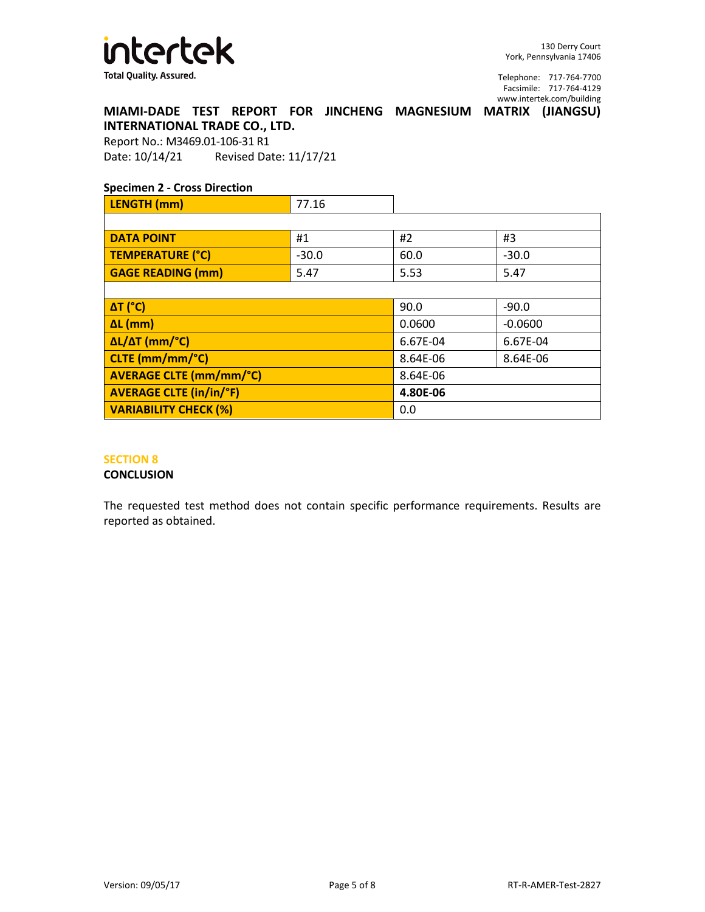

**MIAMI-DADE TEST REPORT FOR JINCHENG MAGNESIUM MATRIX (JIANGSU) INTERNATIONAL TRADE CO., LTD.**

Report No.: M3469.01-106-31 R1 Date: 10/14/21 Revised Date: 11/17/21

# **Specimen 2 - Cross Direction**

| LENGTH (mm)                    | 77.16   |          |           |
|--------------------------------|---------|----------|-----------|
|                                |         |          |           |
| <b>DATA POINT</b>              | #1      | #2       | #3        |
| TEMPERATURE (°C)               | $-30.0$ | 60.0     | $-30.0$   |
| <b>GAGE READING (mm)</b>       | 5.47    | 5.53     | 5.47      |
|                                |         |          |           |
| $\Delta T$ (°C)                |         | 90.0     | $-90.0$   |
| $\Delta L$ (mm)                |         | 0.0600   | $-0.0600$ |
| ΔL/ΔT (mm/°C)                  |         | 6.67E-04 | 6.67E-04  |
| CLTE (mm/mm/°C)                |         | 8.64E-06 | 8.64E-06  |
| <b>AVERAGE CLTE (mm/mm/°C)</b> |         | 8.64E-06 |           |
| <b>AVERAGE CLTE (in/in/°F)</b> |         | 4.80E-06 |           |
| <b>VARIABILITY CHECK (%)</b>   |         | 0.0      |           |

## **SECTION 8**

#### **CONCLUSION**

The requested test method does not contain specific performance requirements. Results are reported as obtained.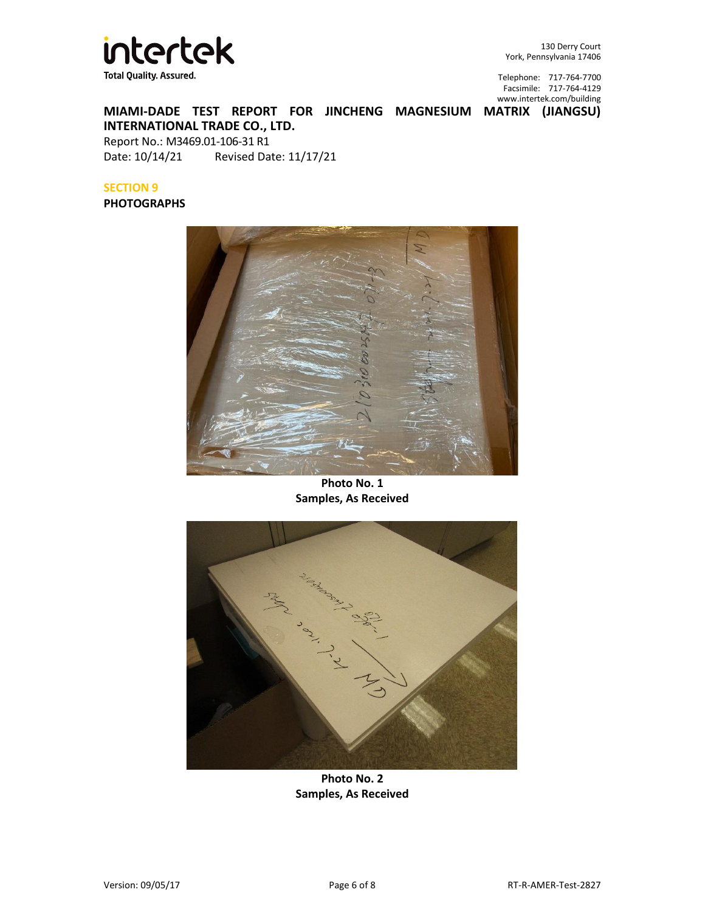

130 Derry Court York, Pennsylvania 17406

Telephone: 717-764-7700 Facsimile: 717-764-4129 [www.intertek.com/building](http://www.intertek.com/building)

**MIAMI-DADE TEST REPORT FOR JINCHENG MAGNESIUM MATRIX (JIANGSU) INTERNATIONAL TRADE CO., LTD.** Report No.: M3469.01-106-31 R1

Date: 10/14/21 Revised Date: 11/17/21

# **SECTION 9**

# **PHOTOGRAPHS**



**Photo No. 1 Samples, As Received**



**Photo No. 2 Samples, As Received**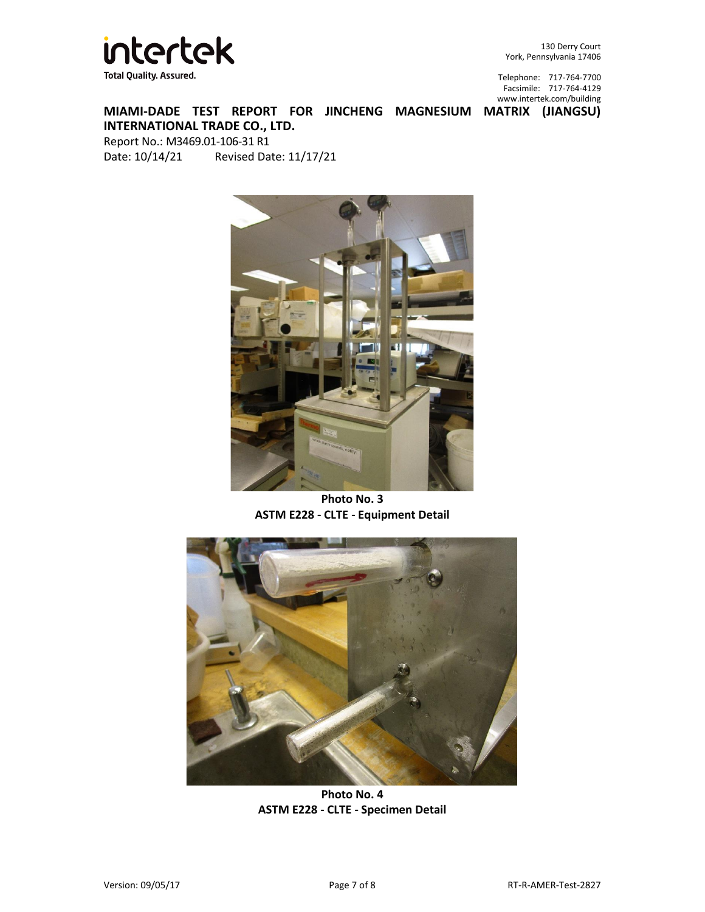

130 Derry Court York, Pennsylvania 17406

Telephone: 717-764-7700 Facsimile: 717-764-4129 [www.intertek.com/building](http://www.intertek.com/building)

**MIAMI-DADE TEST REPORT FOR JINCHENG MAGNESIUM MATRIX (JIANGSU) INTERNATIONAL TRADE CO., LTD.** Report No.: M3469.01-106-31 R1 Date: 10/14/21 Revised Date: 11/17/21

п

**Photo No. 3 ASTM E228 - CLTE - Equipment Detail**



**Photo No. 4 ASTM E228 - CLTE - Specimen Detail**